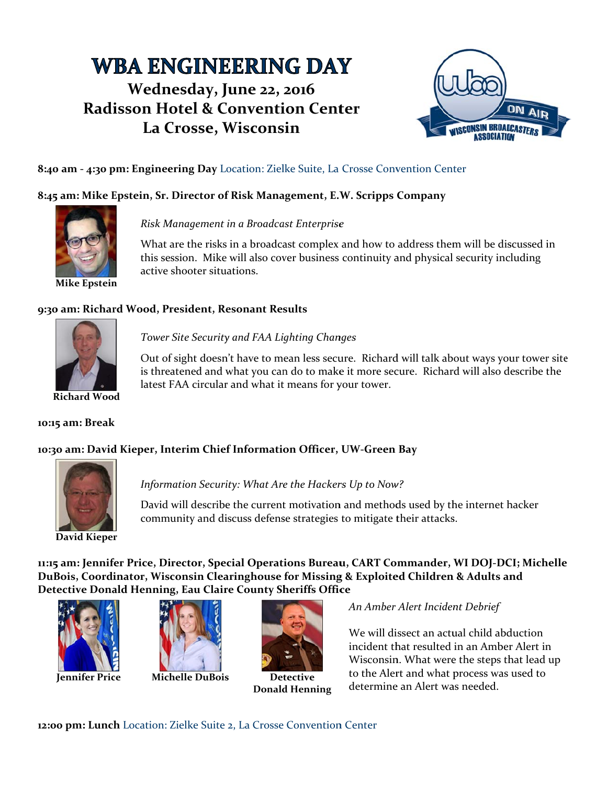# **WBA ENGINEERING DAY** Wednesday, June 22, 2016 **Radisson Hotel & Convention Center** La Crosse, Wisconsin



# 8:40 am - 4:30 pm: Engineering Day Location: Zielke Suite, La Crosse Convention Center

## 8:45 am: Mike Epstein, Sr. Director of Risk Management, E.W. Scripps Company



Risk Management in a Broadcast Enterprise

What are the risks in a broadcast complex and how to address them will be discussed in this session. Mike will also cover business continuity and physical security including active shooter situations.

#### 9:30 am: Richard Wood, President, Resonant Results



### Tower Site Security and FAA Lighting Changes

Out of sight doesn't have to mean less secure. Richard will talk about ways your tower site is threatened and what you can do to make it more secure. Richard will also describe the latest FAA circular and what it means for your tower.

**Richard Wood** 

#### 10:15 am: Break

#### 10:30 am: David Kieper, Interim Chief Information Officer, UW-Green Bay



Information Security: What Are the Hackers Up to Now?

David will describe the current motivation and methods used by the internet hacker community and discuss defense strategies to mitigate their attacks.

11:15 am: Jennifer Price, Director, Special Operations Bureau, CART Commander, WI DOJ-DCI; Michelle DuBois, Coordinator, Wisconsin Clearinghouse for Missing & Exploited Children & Adults and Detective Donald Henning, Eau Claire County Sheriffs Office



**Jennifer Price** 



**Michelle DuBois** 



**Detective Donald Henning** 

An Amber Alert Incident Debrief

We will dissect an actual child abduction incident that resulted in an Amber Alert in Wisconsin. What were the steps that lead up to the Alert and what process was used to determine an Alert was needed